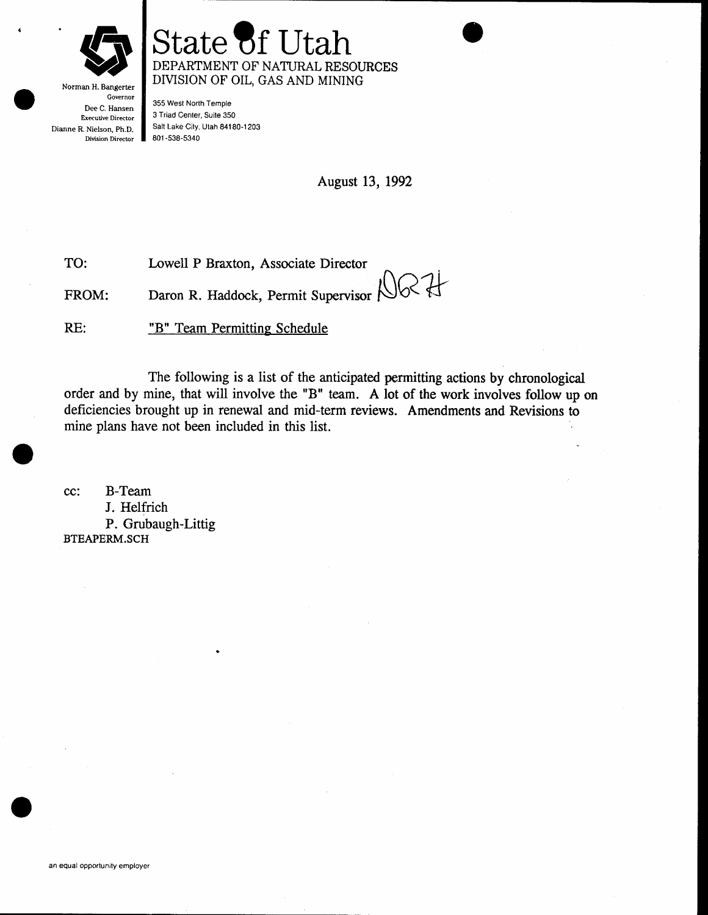

## State' DEPARTMENT OF NATURAL RESOURCES DIVISION OF OIL, GAS AND MINING

Norman H. Bangerter Governor Dee C. Hansen Exerudve Director Dianne R. Nielson, Ph.D. Division Director

355 West North Temple 3 Triad Center, Suite 350 Salt Lake City, Utah 84180-1203 801 -538-5340

August 13, 1992

 $W$ es ff

Lowell P Braxton, Associate Director TO:

Daron R. Haddock, Permit Supervisor FROM:

"B" Team Permitting Schedule RE:

The following is a list of the anticipated permitting actions by chronological order and by mine, that will involve the "8" team. A lot of the work involves follow up on deficiencies brought up in renewal and mid-term reviews. Amendments and Revisions to mine plans have not been included in this list.

cc: B-Team J. Helfrich P. Grubaugh-Littig BTEAPERM.SCH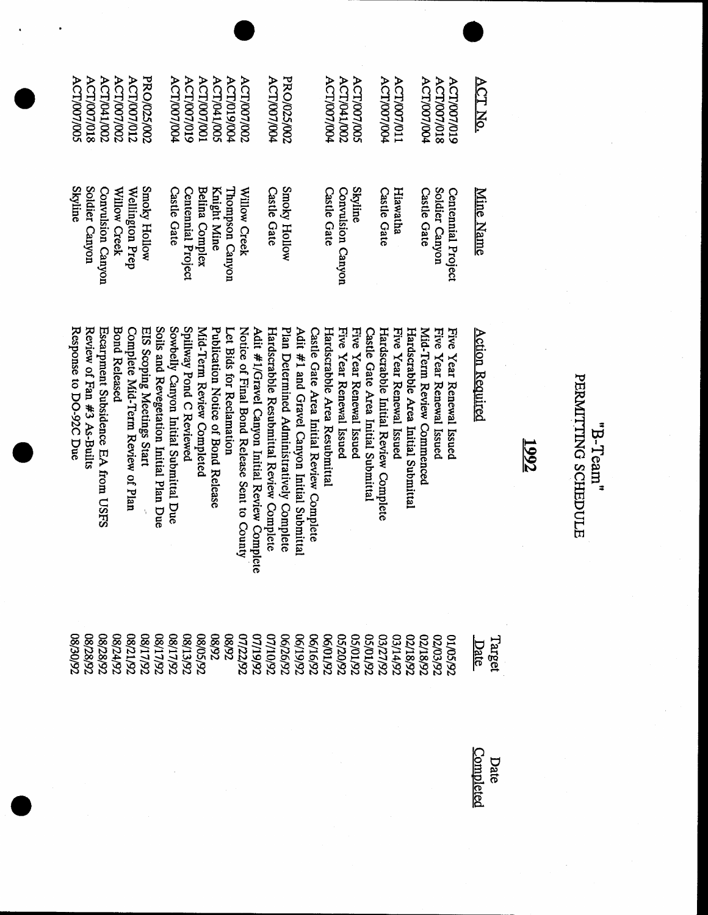| <b>ACT/041/002</b><br>ACT/007/002<br><b>ACT/007/012</b><br>PRO/025/002<br><b>ACT/007/018</b><br><b>ACT/007/005</b>                                                                                                              | <b>ACT/041/005</b><br><b>ACT/007/002</b><br>ACT/007/004<br><b>ACT/007/019</b><br><b>ACT/007/001</b><br>ACT/019/004<br><b>ACT/007/004</b>                                                                                                                                                                                                                  | PRO/025/002<br><b>ACT/041/002</b><br><b>ACT/007/004</b><br><b>ACT/007/005</b><br>ACT/007/011<br>ACT/007/018<br>ACT/007/004<br><b>ACT/007/004</b><br>ACT/007/019                                                                                                                                                                                                                                                        | ACT No.                        |
|---------------------------------------------------------------------------------------------------------------------------------------------------------------------------------------------------------------------------------|-----------------------------------------------------------------------------------------------------------------------------------------------------------------------------------------------------------------------------------------------------------------------------------------------------------------------------------------------------------|------------------------------------------------------------------------------------------------------------------------------------------------------------------------------------------------------------------------------------------------------------------------------------------------------------------------------------------------------------------------------------------------------------------------|--------------------------------|
| <b>Skyline</b><br>Soldier Canyon<br>Smoky Hollow<br>Convulsion Canyon<br>Willow Creek<br>Wellington Prep                                                                                                                        | <b>Castle Gate</b><br>Belina Complex<br>Knight Mine<br>Centennial Project<br>Willow Creek<br>l'hompson Canyon<br>Castle Gate                                                                                                                                                                                                                              | Smoky Hollow<br><b>Skyline</b><br>Soldier Canyon<br>Hiawatha<br>Castle Gate<br>Convulsion Canyon<br><b>Castle Gate</b><br>Castle Gate<br>Centennial Project                                                                                                                                                                                                                                                            | <b>Mine Name</b>               |
| Soils and Revegetation Initial Plan Due<br>Response to DO-92C Due<br>Review of Fan #3 As-Builts<br><b>Bond Released</b><br>Escarpment Subsidence EA from USFS<br>Complete Mid-Term Review of Plan<br>EIS Scoping Meetings Start | Spillway Pond C Reviewed<br>Sowbelly Canyon Initial Submittal Due<br>Mid-Term Review Completed<br>Let Bids for Reclamation<br>Notice of Final Bond Release Sent to County<br>Adit #1/Gravel Canyon Initial Review Complete<br>Hardscrabble Resubmittal Review Complete<br>Plan Determined Administratively Complete<br>Publication Notice of Bond Release | Five Year Renewal Issued<br>Adit #1 and Gravel Canyon Initial Submittal<br>Hardscrabble Area Resubmittal<br>Five Year Renewal Issued<br>Castle Gate Area Initial Review Complete<br>Five Year Renewal Issued<br>Hardscrabble Initial Review Complete<br>Hardscrabble Area Initial Submittal<br>Five Year Renewal Issued<br>Five Year Renewal Issued<br>Castle Gate Area Initial Submittal<br>Mid-Term Review Commenced | <b>Action Required</b><br>1992 |
| 76/06/80<br>26/82/80<br>08/24/92<br>08/28/92<br>08/17/92<br>26/12/80<br>26/11/80                                                                                                                                                | 08/13/92<br><b>CG/SO</b><br>26/11/80<br>26/20/80<br>76/80<br>76/16/92<br>76/20/92<br>76/20/92<br>76/91/90<br>76/91/90<br>07/22/92                                                                                                                                                                                                                         | 26/07/50<br>76/10/50<br>76/12/50<br>76/17/50<br>76/81/70<br>76/81/70<br>76/81/70<br><b>06/01/92</b><br>01/05/92<br>02/03/92                                                                                                                                                                                                                                                                                            | Target<br>Date                 |

"B-Team"<br>PERMITING SCHEDULE

Date<br>Completed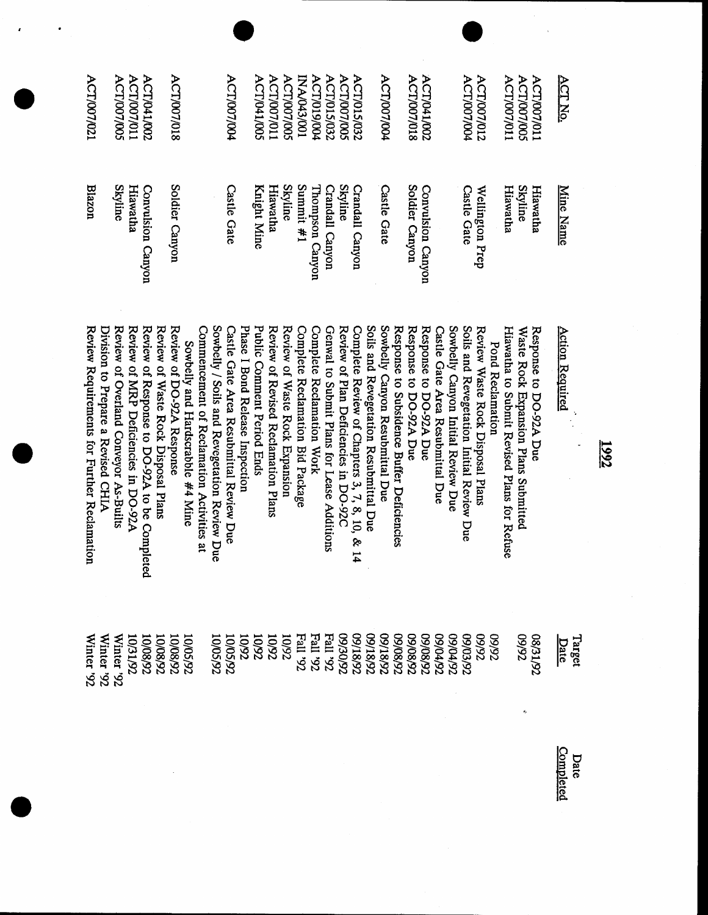| ACT/007/021                                                                       | ACT/007/01<br>ACT/041/002<br><b>ACT/007/005</b>                                                                              | <b>ACT/007/018</b>                                               |                                                                                                                                | ACT/007/004                                                                | ACT/007/011<br>ACT/041/005                                        | <b>ACT/007/005</b>             | I00/270/A3/001                   | ACT/019/004                                                             | <b>ACT/007/005</b><br><b>ACT/015/032</b> | <b>ACT/015/032</b>                               | ACT/007/004                                                               |                                            | <b>ACT/007/018</b>                               | <b>ACT/041/002</b>               |                                    | <b>ACT/007/004</b>                        | <b>ACT/007/012</b>                                   | <b>ACT/007/011</b>                           | <b>ACT/007/005</b>                   | ACT/007/011            | ACT No.                |        |      |
|-----------------------------------------------------------------------------------|------------------------------------------------------------------------------------------------------------------------------|------------------------------------------------------------------|--------------------------------------------------------------------------------------------------------------------------------|----------------------------------------------------------------------------|-------------------------------------------------------------------|--------------------------------|----------------------------------|-------------------------------------------------------------------------|------------------------------------------|--------------------------------------------------|---------------------------------------------------------------------------|--------------------------------------------|--------------------------------------------------|----------------------------------|------------------------------------|-------------------------------------------|------------------------------------------------------|----------------------------------------------|--------------------------------------|------------------------|------------------------|--------|------|
| <b>Blazon</b>                                                                     | Skyline<br>Hiawatha<br>Convulsion Canyon                                                                                     | Soldier Canyon                                                   |                                                                                                                                | <b>Castle Gate</b>                                                         | Knight Mine<br>Hiawatha                                           | <b>Skyline</b>                 | Summit #1                        | Thompson Canyon                                                         | <b>Skyline</b><br>Crandall Canyon        | Crandall Canyon                                  | <b>Castle Gate</b>                                                        |                                            | Soldier Canyon                                   | Convulsion Canyon                |                                    | <b>Castle Gate</b>                        | Wellington Prep                                      | Hiawatha                                     | <b>Skyline</b>                       | Hiawatha               | <b>Mine Name</b>       |        |      |
| Review Requirements for Further Reclamation<br>Division to Prepare a Revised CHIA | Review of Overland Conveyor As-Builts<br>Review of MRP Deficiencies in DO-92A<br>Review of Response to DO-92A to be Complete | Review of Waste Rock Disposal Plans<br>Review of DO-92A Response | Sowbelly / Soils and Revegetation Review Due<br>Commencement of Reclamation Activities at<br>Sowbelly and Hardscrabble #4 Mine | Castle Gate Area Resubmittal Review Due<br>Phase I Bond Release Inspection | Public Comment Period Ends<br>Review of Revised Reclamation Plans | Review of Waste Rock Expansion | Complete Reclamation Bid Package | Genwal to Submit Plans for Lease Additions<br>Complete Reclamation Work | Review of Plan Deficiencies in DO-92C    | Complete Review of Chapters 3, 7, 8, 10,<br>& 14 | Sowbelly Canyon Resubmittal Due<br>Soils and Revegetation Resubmittal Due | Response to Subsidence Buffer Deficiencies | Response to DO-92A Due<br>Response to DO-92A Due | Castle Gate Area Resubmittal Due | Sowbelly Canyon Initial Review Due | Soils and Revegetation Initial Review Due | Review Waste Rock Disposal Plans<br>Pond Reclamation | Hiawatha tor Submit Revised Plans for Refuse | Waste Rock Expansion Plans Submitted | Response to DO-92A Due | <b>Action Required</b> |        | 1992 |
| Winter '92<br>Winter '92                                                          | <b>Winter '92</b><br>10/31/92<br>76/80/01                                                                                    | 10/08/92<br>10/08/92                                             | 10/05/92<br><b>10/05/92</b>                                                                                                    | 10/92<br>76/SQ/01                                                          | <b>76/01</b><br><b>Z6/01</b>                                      | <b>76/01</b>                   | $Z6$ , II <sup>g</sup> H         | <b>Z6. II<sup>B</sup>H</b><br><b>Z6.</b> II <sup>8</sup> H              | <b>Z6/0£/60</b>                          | 76/81/60                                         | 76/81/60<br>76/81/60                                                      | 76/80/60                                   | 76/80/60<br><b>Z6/80/60</b>                      | <b>Z6/t0/60</b>                  | <b>CO/D4/92</b>                    | 09/03/92                                  | 76/60<br>76/60                                       |                                              | 76/60<br>Ą.                          | 26/18/20               | Date                   | Target |      |
|                                                                                   |                                                                                                                              |                                                                  |                                                                                                                                |                                                                            |                                                                   |                                |                                  |                                                                         |                                          |                                                  |                                                                           |                                            |                                                  |                                  |                                    |                                           |                                                      |                                              |                                      |                        | Completed              | Date   |      |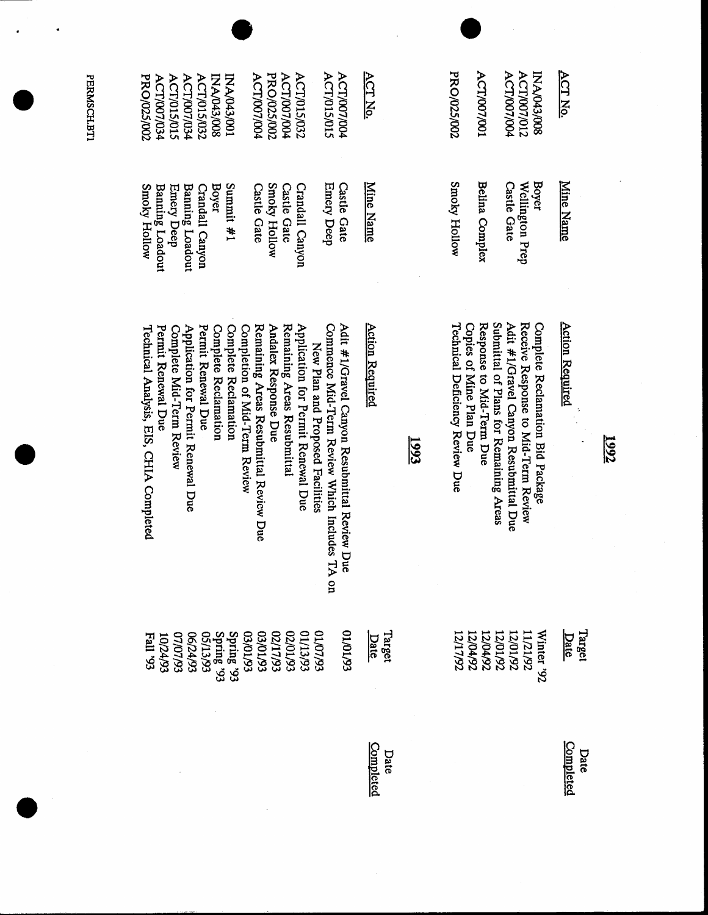| PRO/025/002<br><b>ACT/007/034</b>                             | <b>ACT/015/015</b>          | ACT/007/034                        | <b>ACT/015/032</b><br>B00/243/008 | I00/21043/001                                |                               | <b>PRO/025/002</b><br><b>ACT/007/004</b>                       | <b>ACT/007/004</b>          | <b>ACT/015/032</b>                 |                                  | <b>ACT/007/004</b><br><b>ACT/015/015</b>                                                        |          | ACT No.                |      | PRO/025/002                     | <b>ACT/007/001</b>                                  |                                        | <b>ACT/007/012</b><br>ACT/007/004                                            | INA/043/008                      | <b>ACT No.</b>         |        |      |
|---------------------------------------------------------------|-----------------------------|------------------------------------|-----------------------------------|----------------------------------------------|-------------------------------|----------------------------------------------------------------|-----------------------------|------------------------------------|----------------------------------|-------------------------------------------------------------------------------------------------|----------|------------------------|------|---------------------------------|-----------------------------------------------------|----------------------------------------|------------------------------------------------------------------------------|----------------------------------|------------------------|--------|------|
| <b>Smoky Hollow</b><br><b>Banning Loadout</b>                 | <b>Emery Deep</b>           | <b>Banning Loadout</b>             | <b>Boyer</b><br>Crandall Canyon   | Summit #1                                    |                               | Smoky Hollow<br><b>Castle Gate</b>                             | <b>Castle Gate</b>          | Crandall Canyon                    |                                  | Emery Deep<br><b>Castle Gate</b>                                                                |          | Mine Name              |      | Smoky Hollow                    | Belina Complex                                      |                                        | <b>Castle Gate</b><br>Wellington Prep                                        | <b>Boyer</b>                     | Mine Name              |        |      |
| Technical Analysis, EIS, CHIA Completed<br>Permit Renewal Due | Complete Mid-Term Review    | Application for Permit Renewal Due | Permit Renewal Due                | Complete Reclamation<br>Complete Reclamation | Completion of Mid-Term Review | Remaining Areas Resubmittal Review Due<br>Andalex Response Due | Remaining Areas Resubmittal | Application for Permit Renewal Due | New Plan and Proposed Facilities | Commence Mid-Term Review Which Includes TA<br>Adit #1/Gravel Canyon Resubmittal Review Due<br>g |          | <b>Action Required</b> | 1993 | Technical Deficiency Review Due | Response to Mid-Term Due<br>Copies of Mine Plan Due | Submittal of Plans for Remaining Areas | Adit #1/Gravel Canyon Resubmittal Due<br>Receive Response to Mid-Term Review | Complete Reclamation Bid Package | <b>Action Required</b> |        | 1992 |
| Esll 93                                                       | <b>66/77/01</b><br>66/10/10 | <b>C6/74/93</b>                    |                                   | Spring '93<br>Spring '93<br>65/13/93         |                               |                                                                |                             |                                    |                                  |                                                                                                 | 01/01/93 | Target<br>Date         |      | 12/17/92                        | 12/04/92<br>12/04/92                                | 12/01/92                               | 12/01/92                                                                     | Winter '92<br>11/21/92           | <b>Date</b>            | Target |      |
|                                                               |                             |                                    |                                   |                                              |                               |                                                                |                             |                                    |                                  |                                                                                                 |          | Completed<br>Date      |      |                                 |                                                     |                                        |                                                                              |                                  | Completed              | Date   |      |

PERMSCH.BTI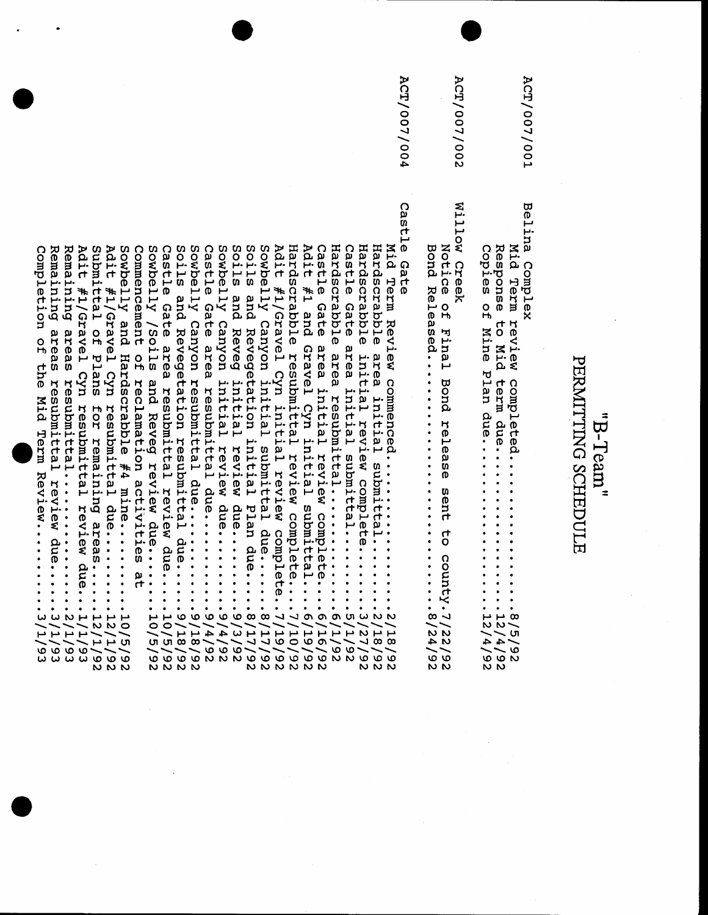PE

|                                               |                                                                                      | <b>ACT/007/002</b> |                              |         |                                                          |                                                | ACT/007/001    |
|-----------------------------------------------|--------------------------------------------------------------------------------------|--------------------|------------------------------|---------|----------------------------------------------------------|------------------------------------------------|----------------|
| <b>BODG Xeleased</b><br>∞<br>Ñ<br>4<br>╮<br>N | Notion of Final Bond release sent to conntinue of<br>$\overline{N}$<br>N<br>ە ب<br>N | Willow Creek       | Copies on Kine Plan due<br>4 | O.<br>N | Response to Mid term due<br>r<br>22<br>23<br>4<br>۰<br>N | Mid Herm review completed<br>œ<br>ហ<br>۱Ó<br>N | Belina Complex |

ACT/007/004

Castle Gate Castle Gate area resubmittal due......... 9/4/92 Soils and Revegetation initial Plan due.....8/17/92 Castle Gate area initial review complete....6/16/92 Commencement of reclamation activities at Castle Gate area resubmittal review due.....10/5/92 Soils and Revegetation resubmittal due...... 9/18/92 Sowbelly Canyon resubmittal due.......... 9/18/92 Sowbelly Canyon initial review due........ 9/4/92 Soils and Reveg initial review due....... 9/3/92 Sowbelly Canyon initial submittal due...... 8/17/92 Adit #1/Gravel Cyn initial review complete..7/19/92 Hardscrabble resubmittal review complete.... 7/10/92 Adit #1 and Gravel Cyn initial submittal....6/19/92 Hardscrabble area resubmittal............ Castle Gate area initial submittal....... 5/1/92 Hardscrabble initial review complete....... 3/27/92 Hardscrabble area initial submittal....... 2/18/92 Mid Term Review commenced........... Remaining areas resubmittal review due..... 3/1/93 Adit #1/Gravel Cyn resubmittal review due...1/1/93 Submittal of Plans for remaining areas.....12/1/92 Adit #1/Gravel Cyn resubmittal due........12/1/92 Sowbelly and Hardscrabble #4 mine........  $10/5/92$ Sowbelly /Soils and Reveg review due....... 10/5/92 26/8172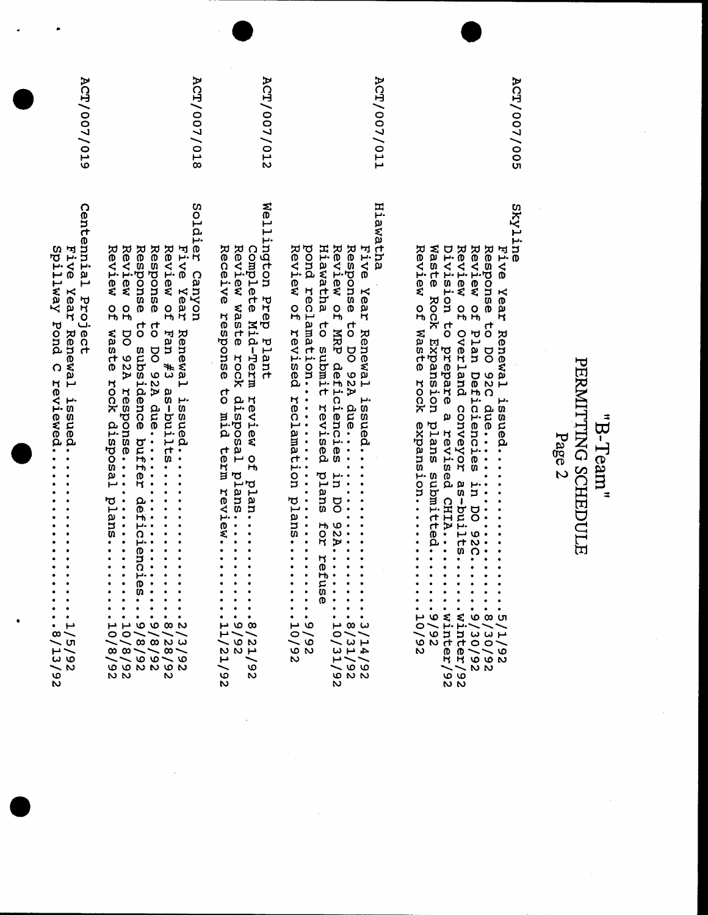| Centennial Project<br>Five Year Renewal issued<br>Spillway Pond C reviewed<br>٠<br>٠<br>٠<br>$\bullet$<br>$\cdot$ $\cdot$<br>$\sim$<br>∼ ๓<br>$\vdash$<br>$\frac{93}{9}$<br>N                                                                                                                                                                                                                                                                                                                                                                                                                                                                                                                                                 | <b>ACT/007/019</b> |  |
|-------------------------------------------------------------------------------------------------------------------------------------------------------------------------------------------------------------------------------------------------------------------------------------------------------------------------------------------------------------------------------------------------------------------------------------------------------------------------------------------------------------------------------------------------------------------------------------------------------------------------------------------------------------------------------------------------------------------------------|--------------------|--|
| Soldier Canyon<br>Review of<br>Response<br>Response<br>Review of<br>Review of<br>Five Year<br>$\vec{c}$<br>to DO 92A due<br>waste<br>Renewal issued<br>Fan #3 as-builts.<br>DO 92A response<br>subsidence buffer deficien<br>rock disposal<br>.<br>plans.<br>$\Omega$<br>$\bullet$<br>$\bullet$<br>٠<br>٠<br>$\bullet$<br>$\bullet$<br>٠<br>٠⊣<br>ັດ<br>ທ<br>$\ddot{\cdot}$<br>$\bullet$<br>٠<br>$\bullet$<br>$\bullet$<br>٠<br>٠<br>٠<br>$\bullet$<br>٠<br>$\bullet$<br>٠<br>٠<br>$\circ$<br>$\circ$ $\circ$ $\circ$<br>مر<br>$\circ$<br>ーーーー<br>0<br>$\infty$ $\infty$ $\infty$<br>$\overline{\phantom{0}}$<br>$-\infty$ $\sim$ $-\infty$<br>$\sim$ $\sim$ $\circ$ $\sim$ $\sim$ $\circ$<br><b>G G N N G N</b><br>N N<br>S. | <b>ACT/007/018</b> |  |
| Wellington Prep<br>Review waste rock disposal plans<br>Receive response<br>Complete Mid-Term<br>Plant<br>to mid term review.<br>review of<br>plan<br>$\bullet$<br>٠<br>$\infty$<br>ىم<br>$\mathord{\sim} \mathord{\sim} \mathord{\sim}$<br>n 0 0<br>1 0 0<br>1 0 0<br>ىم<br>$\boldsymbol{\omega}$<br>O<br>N<br>N                                                                                                                                                                                                                                                                                                                                                                                                              | <b>ACT/007/012</b> |  |
| Hiawatha<br>Hiawatha<br>Response to DO 92A due<br>Review of MRP deficiencies in DO 92A<br>pond reclamation<br>Review of revised reclamation plans<br>Five Year Renewal<br>to submit revised plans for r<br>issued<br>Ø<br>٠<br>$\bullet$<br>$\bullet$<br>٠<br>ituse<br>$\bullet$<br>$\ddot{\cdot}$<br>$\bullet$<br>$\bullet$<br>$\bullet$<br>$\bullet$<br>$\bullet$<br>٠<br>$\bullet$<br>۰<br>$\bullet$<br>$\bullet$<br>٠<br>$\bullet$<br>٠<br>$\mathbf{\mu}$ $\boldsymbol{\omega}$ $\boldsymbol{\omega}$<br>ی ب<br>$\circ$<br>$\sim$ $\sim$<br>$\overline{\phantom{0}}$<br>$\sim$ $\circ$<br>しきて<br>$\circ$ $\circ$<br>$4 - 4$<br>N<br>ە ە<br>$\overline{\phantom{0}}$<br>6<br><b>NN</b><br>N                                | <b>ACT/007/011</b> |  |
| Skyline<br>Waste Rock Expansion plans submitted<br>Review of Waste rock expansion<br>Division to prepare a revised CHIA<br>Review of<br>Response to DO 92C due<br>Review of Plan Deficiencies in DO 92C.<br><b>Five</b><br>Year<br>Renewal<br>Overland conveyor as-builts.<br>issued<br><b>920.</b><br>$\begin{array}{c}\n 0.5717 \\ -0.9720 \\ -0.91111 \\ -0.91011 \\ -0.91019\n\end{array}$<br>$\frac{9}{10}$<br>$\mathbf{0}$<br>N<br>ወ<br>$\sim\!-\,$ 0<br><b>RR660</b><br>ーーロい<br>$\circ$ $\circ$<br>N N                                                                                                                                                                                                                 | <b>ACT/007/005</b> |  |
| PERMITTING SCHEDULE<br>"Team"<br>Page 2                                                                                                                                                                                                                                                                                                                                                                                                                                                                                                                                                                                                                                                                                       |                    |  |

 $\label{eq:2.1} \frac{1}{\sqrt{2\pi}}\int_{\mathbb{R}^3}\frac{1}{\sqrt{2\pi}}\int_{\mathbb{R}^3}\frac{1}{\sqrt{2\pi}}\int_{\mathbb{R}^3}\frac{1}{\sqrt{2\pi}}\int_{\mathbb{R}^3}\frac{1}{\sqrt{2\pi}}\int_{\mathbb{R}^3}\frac{1}{\sqrt{2\pi}}\int_{\mathbb{R}^3}\frac{1}{\sqrt{2\pi}}\int_{\mathbb{R}^3}\frac{1}{\sqrt{2\pi}}\int_{\mathbb{R}^3}\frac{1}{\sqrt{2\pi}}\int_{\mathbb{R}^3}\frac{1$ 

 $\sim$ 

 $\frac{1}{2}$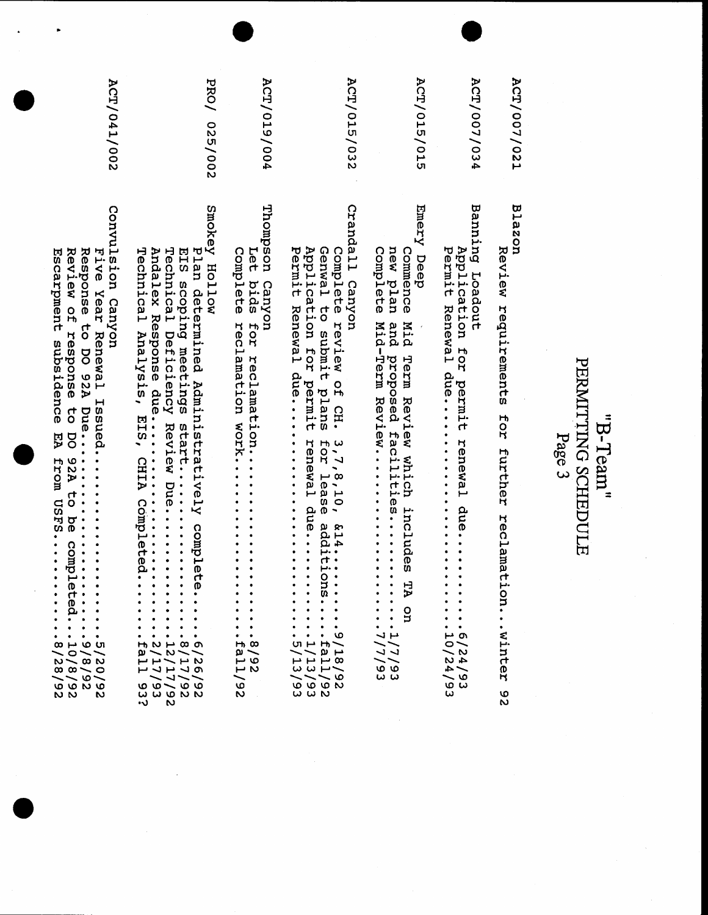## "B-Team"<br>PERMITING SCHEDULE<br>Page 3

ACT/007/021

**Blazon** 

|              | Review requirements for further reclamation<br>·winter<br>৩<br>N                                                                                                                                                                                                                                                                                                                                                                                                                                                                          |
|--------------|-------------------------------------------------------------------------------------------------------------------------------------------------------------------------------------------------------------------------------------------------------------------------------------------------------------------------------------------------------------------------------------------------------------------------------------------------------------------------------------------------------------------------------------------|
| ACT/007/034  | Banning<br>Application<br>Permit<br>Toadout<br>Eor<br>permit<br>renewal due<br>$\cdot$ .<br>$\bullet$<br>٠<br>٠<br>$\bullet$<br>٠<br>⊬ თ<br>O<br>$\overline{\phantom{0}}$<br>$\sim$ $\sim$<br>りゃ<br>イイ<br>$\sim$ 10<br>ဖြို့ ယ<br>ω                                                                                                                                                                                                                                                                                                       |
| ACT/015/015  | Emery Deep<br>Complete<br>new plan<br>Commence<br><b>Mid-Herm Review</b><br>Mid Term Review which includes TA<br>and proposed facilities<br>٠<br>٠<br>$\ddot{\bullet}$<br>٠<br>g<br>٠<br>٠<br>しょ<br>ر ر<br>$\widetilde{\phantom{m}}$<br>ن ن<br>ພ ພ                                                                                                                                                                                                                                                                                        |
| ACT/015/032  | Crandall Canyon<br>Application for permit renewal due<br>Genwal to submit plans<br>Permit Renewal due<br>Complete review of CH.<br>3, 7, 8, 10, 614<br>for lease additions<br>۰<br>$\bullet$<br>$\bullet$<br>٠<br>٠<br>$\bullet$<br>ဖ<br>۰<br>٠<br>$m + m$<br>∽<br>ししゅて<br>$\mapsto$ $\mapsto$ $\infty$<br><b>wwH</b><br>$\mathord{\sim} \mathord{\sim}$ $\circ$<br><b>000</b> 0<br>w w N                                                                                                                                                 |
| ACT/019/004  | Thompson Canyon<br>Complete<br>Let<br>bids<br>Heclamation vork<br>hor recupliant ton<br>٠<br>٠<br>٠<br>٠<br>٠<br>њ∞<br>$\sim$<br>ی ب<br>س س<br>╰<br>۰<br>N                                                                                                                                                                                                                                                                                                                                                                                |
| PRO/ 025/002 | Smokey Hollow<br>Technical Deficiency Review Due<br>Plan determined Administratively complete<br>Technical Analysis, EIS, CHIA Completed.<br>Andalex Response due<br>EIS scoping meetings start<br>٠<br>٠<br>٠<br>٠<br>٠<br>٠<br>٠<br>$H \nu \vdash \infty$<br>ーヮーー<br>ω<br>エエノエク<br>エムエムマ<br>ノコノノ<br>$\circ \circ \sim \circ \circ$<br><b>wwww</b><br>N<br>•ي                                                                                                                                                                            |
| ACT/041/002  | Convulsion Canyon<br>Review of response to<br>Five Year Renewal Hasied<br>Escarpment subsidence<br>EA<br>DO 92A to be comple:<br>From CSFS<br>ᡣ᠂<br>٠<br>٠<br>$\overset{\circ}{\text{a}}$ :<br>$\bullet$<br>٠<br>$\bullet$<br>٠<br>$\bullet$<br>$\bullet$<br>٠<br>٠<br>$\bullet$<br>٠<br>٠<br>۰<br>٠<br>٠<br>$\infty \mapsto \infty$ or<br>$\mathord{\sim}$ 0 $\mathord{\sim}$ $\mathord{\sim}$<br>$m - \omega$<br>$\infty$ $\infty$ $\infty$<br>$\mathord{\sim} \mathord{\sim} \mathord{\sim} \mathord{\sim}$<br><b>0000</b><br>N N<br>N |